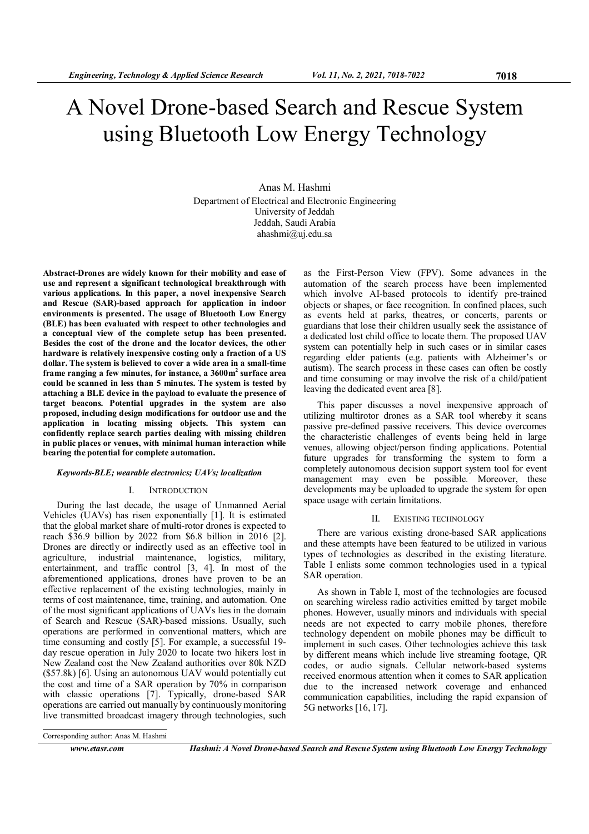# A Novel Drone-based Search and Rescue System using Bluetooth Low Energy Technology

Anas M. Hashmi Department of Electrical and Electronic Engineering University of Jeddah Jeddah, Saudi Arabia ahashmi@uj.edu.sa

Abstract-Drones are widely known for their mobility and ease of use and represent a significant technological breakthrough with various applications. In this paper, a novel inexpensive Search and Rescue (SAR)-based approach for application in indoor environments is presented. The usage of Bluetooth Low Energy (BLE) has been evaluated with respect to other technologies and a conceptual view of the complete setup has been presented. Besides the cost of the drone and the locator devices, the other hardware is relatively inexpensive costing only a fraction of a US dollar. The system is believed to cover a wide area in a small-time frame ranging a few minutes, for instance, a  $3600$ m<sup>2</sup> surface area could be scanned in less than 5 minutes. The system is tested by attaching a BLE device in the payload to evaluate the presence of target beacons. Potential upgrades in the system are also proposed, including design modifications for outdoor use and the application in locating missing objects. This system can confidently replace search parties dealing with missing children in public places or venues, with minimal human interaction while bearing the potential for complete automation.

# Keywords-BLE; wearable electronics; UAVs; localization

### I. INTRODUCTION

During the last decade, the usage of Unmanned Aerial Vehicles (UAVs) has risen exponentially [1]. It is estimated that the global market share of multi-rotor drones is expected to reach \$36.9 billion by 2022 from \$6.8 billion in 2016 [2]. Drones are directly or indirectly used as an effective tool in agriculture, industrial maintenance, logistics, military, entertainment, and traffic control [3, 4]. In most of the aforementioned applications, drones have proven to be an effective replacement of the existing technologies, mainly in terms of cost maintenance, time, training, and automation. One of the most significant applications of UAVs lies in the domain of Search and Rescue (SAR)-based missions. Usually, such operations are performed in conventional matters, which are time consuming and costly [5]. For example, a successful 19 day rescue operation in July 2020 to locate two hikers lost in New Zealand cost the New Zealand authorities over 80k NZD (\$57.8k) [6]. Using an autonomous UAV would potentially cut the cost and time of a SAR operation by 70% in comparison with classic operations [7]. Typically, drone-based SAR operations are carried out manually by continuously monitoring live transmitted broadcast imagery through technologies, such

as the First-Person View (FPV). Some advances in the automation of the search process have been implemented which involve AI-based protocols to identify pre-trained objects or shapes, or face recognition. In confined places, such as events held at parks, theatres, or concerts, parents or guardians that lose their children usually seek the assistance of a dedicated lost child office to locate them. The proposed UAV system can potentially help in such cases or in similar cases regarding elder patients (e.g. patients with Alzheimer's or autism). The search process in these cases can often be costly and time consuming or may involve the risk of a child/patient leaving the dedicated event area [8].

This paper discusses a novel inexpensive approach of utilizing multirotor drones as a SAR tool whereby it scans passive pre-defined passive receivers. This device overcomes the characteristic challenges of events being held in large venues, allowing object/person finding applications. Potential future upgrades for transforming the system to form a completely autonomous decision support system tool for event management may even be possible. Moreover, these developments may be uploaded to upgrade the system for open space usage with certain limitations.

### II. EXISTING TECHNOLOGY

There are various existing drone-based SAR applications and these attempts have been featured to be utilized in various types of technologies as described in the existing literature. Table I enlists some common technologies used in a typical SAR operation.

As shown in Table I, most of the technologies are focused on searching wireless radio activities emitted by target mobile phones. However, usually minors and individuals with special needs are not expected to carry mobile phones, therefore technology dependent on mobile phones may be difficult to implement in such cases. Other technologies achieve this task by different means which include live streaming footage, QR codes, or audio signals. Cellular network-based systems received enormous attention when it comes to SAR application due to the increased network coverage and enhanced communication capabilities, including the rapid expansion of 5G networks [16, 17].

Corresponding author: Anas M. Hashmi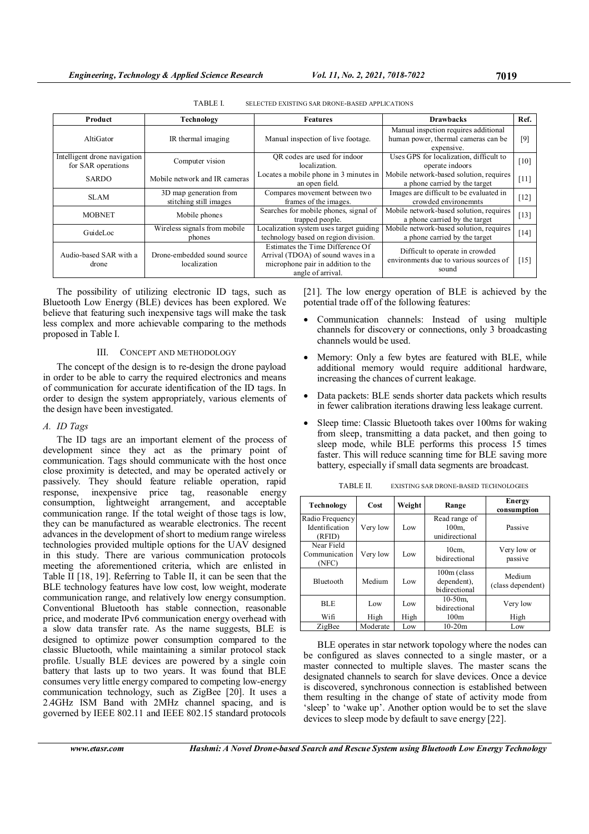| Product                                            | Technology                                       | <b>Features</b>                                                                                                                   | <b>Drawbacks</b>                                                                          | Ref.   |
|----------------------------------------------------|--------------------------------------------------|-----------------------------------------------------------------------------------------------------------------------------------|-------------------------------------------------------------------------------------------|--------|
| AltiGator                                          | IR thermal imaging                               | Manual inspection of live footage.                                                                                                | Manual inspetion requires additional<br>human power, thermal cameras can be<br>expensive. |        |
| Intelligent drone navigation<br>for SAR operations | Computer vision                                  | OR codes are used for indoor<br>localization.                                                                                     | Uses GPS for localization, difficult to<br>operate indoors                                | [10]   |
| <b>SARDO</b>                                       | Mobile network and IR cameras                    | Locates a mobile phone in 3 minutes in<br>an open field.                                                                          | Mobile network-based solution, requires<br>a phone carried by the target                  | $[11]$ |
| <b>SLAM</b>                                        | 3D map generation from<br>stitching still images | Compares movement between two<br>frames of the images.                                                                            | Images are difficult to be evaluated in<br>crowded environemnts                           | $[12]$ |
| <b>MOBNET</b>                                      | Mobile phones                                    | Searches for mobile phones, signal of<br>trapped people.                                                                          | Mobile network-based solution, requires<br>a phone carried by the target                  | $[13]$ |
| GuideLoc                                           | Wireless signals from mobile<br>phones           | Localization system uses target guiding<br>technology based on region division.                                                   | Mobile network-based solution, requires<br>a phone carried by the target                  | $[14]$ |
| Audio-based SAR with a<br>drone                    | Drone-embedded sound source<br>localization      | Estimates the Time Difference Of<br>Arrival (TDOA) of sound waves in a<br>microphone pair in addition to the<br>angle of arrival. | Difficult to operate in crowded<br>environments due to various sources of<br>sound        | $[15]$ |

TABLE I. SELECTED EXISTING SAR DRONE-BASED APPLICATIONS

The possibility of utilizing electronic ID tags, such as Bluetooth Low Energy (BLE) devices has been explored. We believe that featuring such inexpensive tags will make the task less complex and more achievable comparing to the methods proposed in Table I.

# III. CONCEPT AND METHODOLOGY

The concept of the design is to re-design the drone payload in order to be able to carry the required electronics and means of communication for accurate identification of the ID tags. In order to design the system appropriately, various elements of the design have been investigated.

### A. ID Tags

The ID tags are an important element of the process of development since they act as the primary point of communication. Tags should communicate with the host once close proximity is detected, and may be operated actively or passively. They should feature reliable operation, rapid response, inexpensive price tag, reasonable energy consumption, lightweight arrangement, and acceptable communication range. If the total weight of those tags is low, they can be manufactured as wearable electronics. The recent advances in the development of short to medium range wireless technologies provided multiple options for the UAV designed in this study. There are various communication protocols meeting the aforementioned criteria, which are enlisted in Table II [18, 19]. Referring to Table II, it can be seen that the BLE technology features have low cost, low weight, moderate communication range, and relatively low energy consumption. Conventional Bluetooth has stable connection, reasonable price, and moderate IPv6 communication energy overhead with a slow data transfer rate. As the name suggests, BLE is designed to optimize power consumption compared to the classic Bluetooth, while maintaining a similar protocol stack profile. Usually BLE devices are powered by a single coin battery that lasts up to two years. It was found that BLE consumes very little energy compared to competing low-energy communication technology, such as ZigBee [20]. It uses a 2.4GHz ISM Band with 2MHz channel spacing, and is governed by IEEE 802.11 and IEEE 802.15 standard protocols

[21]. The low energy operation of BLE is achieved by the potential trade off of the following features:

- Communication channels: Instead of using multiple channels for discovery or connections, only 3 broadcasting channels would be used.
- Memory: Only a few bytes are featured with BLE, while additional memory would require additional hardware, increasing the chances of current leakage.
- Data packets: BLE sends shorter data packets which results in fewer calibration iterations drawing less leakage current.
- Sleep time: Classic Bluetooth takes over 100ms for waking from sleep, transmitting a data packet, and then going to sleep mode, while BLE performs this process 15 times faster. This will reduce scanning time for BLE saving more battery, especially if small data segments are broadcast.

| Technology                                  | Cost     | Weight | Range                                       | <b>Energy</b><br>consumption |
|---------------------------------------------|----------|--------|---------------------------------------------|------------------------------|
| Radio Frequency<br>Identification<br>(RFID) | Very low | Low    | Read range of<br>$100m$ ,<br>unidirectional | Passive                      |
| Near Field<br>Communication<br>(NFC)        | Very low | Low    | $10cm$ ,<br>bidirectional                   | Very low or<br>passive       |
| <b>Bluetooth</b>                            | Medium   | Low    | 100m (class<br>dependent),<br>hidirectional | Medium<br>(class dependent)  |
| <b>BLE</b>                                  | Low      | Low    | $10-50m$ ,<br>bidirectional                 | Very low                     |
| Wifi                                        | High     | High   | 100m                                        | High                         |
| ZigBee                                      | Moderate | Low    | $10-20m$                                    | Low                          |

BLE operates in star network topology where the nodes can be configured as slaves connected to a single master, or a master connected to multiple slaves. The master scans the designated channels to search for slave devices. Once a device is discovered, synchronous connection is established between them resulting in the change of state of activity mode from 'sleep' to 'wake up'. Another option would be to set the slave devices to sleep mode by default to save energy [22].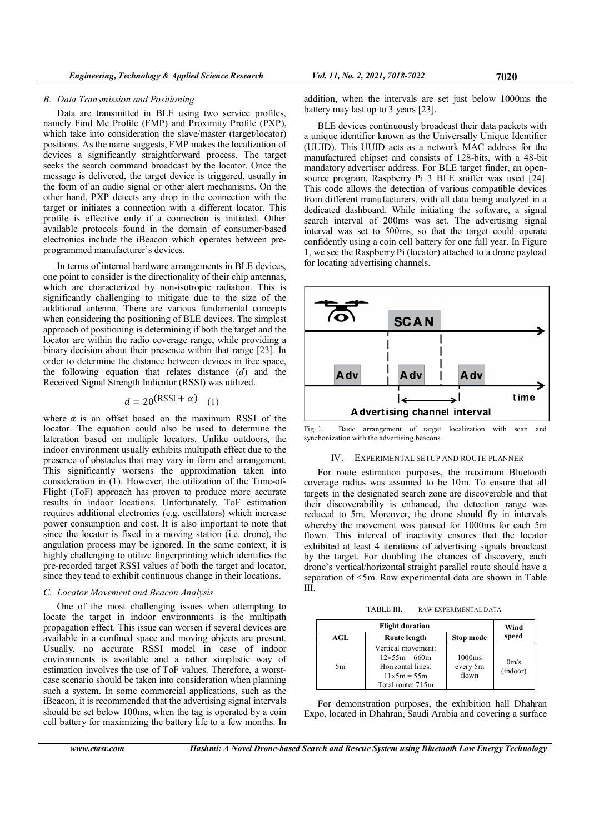### B. Data Transmission and Positioning

Data are transmitted in BLE using two service profiles, namely Find Me Profile (FMP) and Proximity Profile (PXP), which take into consideration the slave/master (target/locator) positions. As the name suggests, FMP makes the localization of devices a significantly straightforward process. The target seeks the search command broadcast by the locator. Once the message is delivered, the target device is triggered, usually in the form of an audio signal or other alert mechanisms. On the other hand, PXP detects any drop in the connection with the target or initiates a connection with a different locator. This profile is effective only if a connection is initiated. Other available protocols found in the domain of consumer-based electronics include the iBeacon which operates between preprogrammed manufacturer's devices.

In terms of internal hardware arrangements in BLE devices, one point to consider is the directionality of their chip antennas, which are characterized by non-isotropic radiation. This is significantly challenging to mitigate due to the size of the additional antenna. There are various fundamental concepts when considering the positioning of BLE devices. The simplest approach of positioning is determining if both the target and the locator are within the radio coverage range, while providing a binary decision about their presence within that range [23]. In order to determine the distance between devices in free space, the following equation that relates distance  $(d)$  and the Received Signal Strength Indicator (RSSI) was utilized.

# $d = 20(RSSI + \alpha)$  (1)

where  $\alpha$  is an offset based on the maximum RSSI of the locator. The equation could also be used to determine the lateration based on multiple locators. Unlike outdoors, the indoor environment usually exhibits multipath effect due to the presence of obstacles that may vary in form and arrangement. This significantly worsens the approximation taken into consideration in (1). However, the utilization of the Time-of-Flight (ToF) approach has proven to produce more accurate results in indoor locations. Unfortunately, ToF estimation requires additional electronics (e.g. oscillators) which increase power consumption and cost. It is also important to note that since the locator is fixed in a moving station (i.e. drone), the angulation process may be ignored. In the same context, it is highly challenging to utilize fingerprinting which identifies the pre-recorded target RSSI values of both the target and locator, since they tend to exhibit continuous change in their locations.

### C. Locator Movement and Beacon Analysis

One of the most challenging issues when attempting to locate the target in indoor environments is the multipath propagation effect. This issue can worsen if several devices are available in a confined space and moving objects are present. Usually, no accurate RSSI model in case of indoor environments is available and a rather simplistic way of estimation involves the use of ToF values. Therefore, a worstcase scenario should be taken into consideration when planning such a system. In some commercial applications, such as the iBeacon, it is recommended that the advertising signal intervals should be set below 100ms, when the tag is operated by a coin cell battery for maximizing the battery life to a few months. In

BLE devices continuously broadcast their data packets with a unique identifier known as the Universally Unique Identifier (UUID). This UUID acts as a network MAC address for the manufactured chipset and consists of 128-bits, with a 48-bit mandatory advertiser address. For BLE target finder, an opensource program, Raspberry Pi 3 BLE sniffer was used [24]. This code allows the detection of various compatible devices from different manufacturers, with all data being analyzed in a dedicated dashboard. While initiating the software, a signal search interval of 200ms was set. The advertising signal interval was set to 500ms, so that the target could operate confidently using a coin cell battery for one full year. In Figure 1, we see the Raspberry Pi (locator) attached to a drone payload for locating advertising channels.



**SCAN** 

Fig. 1. Basic arrangement of target localization with scan and synchonization with the advertising beacons.

### IV. EXPERIMENTAL SETUP AND ROUTE PLANNER

For route estimation purposes, the maximum Bluetooth coverage radius was assumed to be 10m. To ensure that all targets in the designated search zone are discoverable and that their discoverability is enhanced, the detection range was reduced to 5m. Moreover, the drone should fly in intervals whereby the movement was paused for 1000ms for each 5m flown. This interval of inactivity ensures that the locator exhibited at least 4 iterations of advertising signals broadcast by the target. For doubling the chances of discovery, each drone's vertical/horizontal straight parallel route should have a separation of <5m. Raw experimental data are shown in Table III.

TABLE III. RAW EXPERIMENTAL DATA

|     | Wind                                                                                                       |                             |                     |
|-----|------------------------------------------------------------------------------------------------------------|-----------------------------|---------------------|
| AGL | Route length                                                                                               | Stop mode                   | speed               |
| 5m  | Vertical movement:<br>$12\times55m = 660m$<br>Horizontal lines:<br>$11\times5m = 55m$<br>Total route: 715m | 1000ms<br>every 5m<br>flown | $0m$ /s<br>(indoor) |

For demonstration purposes, the exhibition hall Dhahran Expo, located in Dhahran, Saudi Arabia and covering a surface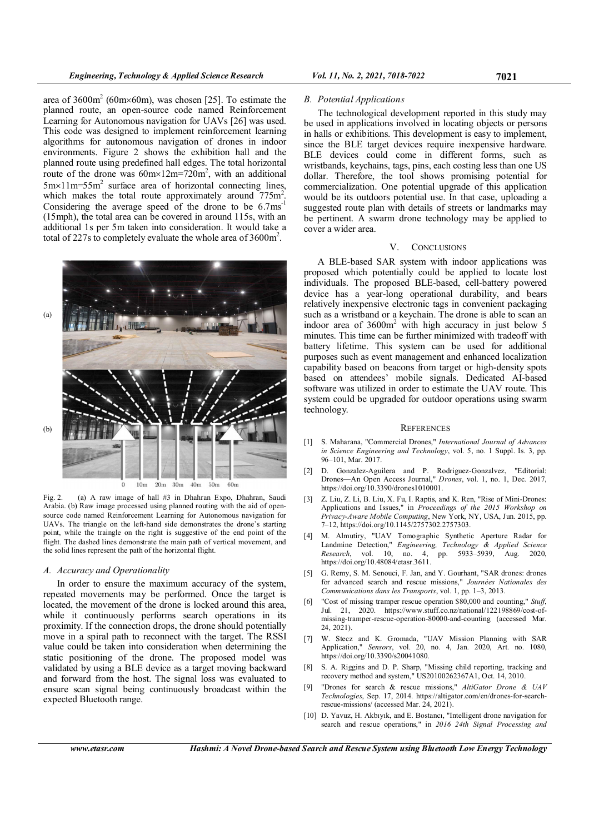area of  $3600 \text{m}^2$  (60m×60m), was chosen [25]. To estimate the planned route, an open-source code named Reinforcement Learning for Autonomous navigation for UAVs [26] was used. This code was designed to implement reinforcement learning algorithms for autonomous navigation of drones in indoor environments. Figure 2 shows the exhibition hall and the planned route using predefined hall edges. The total horizontal route of the drone was  $60 \text{m} \times 12 \text{m} = 720 \text{m}^2$ , with an additional  $5m \times 11m = 55m^2$  surface area of horizontal connecting lines, which makes the total route approximately around  $775m^2$ . Considering the average speed of the drone to be  $6.7 \text{ms}^{-1}$ (15mph), the total area can be covered in around 115s, with an additional 1s per 5m taken into consideration. It would take a total of 227s to completely evaluate the whole area of  $3600 \text{m}^2$ .



Fig. 2. (a) A raw image of hall #3 in Dhahran Expo, Dhahran, Saudi Arabia. (b) Raw image processed using planned routing with the aid of opensource code named Reinforcement Learning for Autonomous navigation for UAVs. The triangle on the left-hand side demonstrates the drone's starting point, while the traingle on the right is suggestive of the end point of the flight. The dashed lines demonstrate the main path of vertical movement, and the solid lines represent the path of the horizontal flight.

# A. Accuracy and Operationality

In order to ensure the maximum accuracy of the system, repeated movements may be performed. Once the target is located, the movement of the drone is locked around this area, while it continuously performs search operations in its proximity. If the connection drops, the drone should potentially move in a spiral path to reconnect with the target. The RSSI value could be taken into consideration when determining the static positioning of the drone. The proposed model was validated by using a BLE device as a target moving backward and forward from the host. The signal loss was evaluated to ensure scan signal being continuously broadcast within the expected Bluetooth range.

# B. Potential Applications

The technological development reported in this study may be used in applications involved in locating objects or persons in halls or exhibitions. This development is easy to implement, since the BLE target devices require inexpensive hardware. BLE devices could come in different forms, such as wristbands, keychains, tags, pins, each costing less than one US dollar. Therefore, the tool shows promising potential for commercialization. One potential upgrade of this application would be its outdoors potential use. In that case, uploading a suggested route plan with details of streets or landmarks may be pertinent. A swarm drone technology may be applied to cover a wider area.

### V. CONCLUSIONS

A BLE-based SAR system with indoor applications was proposed which potentially could be applied to locate lost individuals. The proposed BLE-based, cell-battery powered device has a year-long operational durability, and bears relatively inexpensive electronic tags in convenient packaging such as a wristband or a keychain. The drone is able to scan an indoor area of 3600m<sup>2</sup> with high accuracy in just below 5 minutes. This time can be further minimized with tradeoff with battery lifetime. This system can be used for additional purposes such as event management and enhanced localization capability based on beacons from target or high-density spots based on attendees' mobile signals. Dedicated AI-based software was utilized in order to estimate the UAV route. This system could be upgraded for outdoor operations using swarm technology.

### **REFERENCES**

- [1] S. Maharana, "Commercial Drones," *International Journal of Advances* in Science Engineering and Technology, vol. 5, no. 1 Suppl. Is. 3, pp. 96–101, Mar. 2017.
- [2] D. Gonzalez-Aguilera and P. Rodriguez-Gonzalvez, "Editorial: Drones—An Open Access Journal," Drones, vol. 1, no. 1, Dec. 2017, https://doi.org/10.3390/drones1010001.
- [3] Z. Liu, Z. Li, B. Liu, X. Fu, I. Raptis, and K. Ren, "Rise of Mini-Drones: Applications and Issues," in Proceedings of the 2015 Workshop on Privacy-Aware Mobile Computing, New York, NY, USA, Jun. 2015, pp. 7–12, https://doi.org/10.1145/2757302.2757303.
- [4] M. Almutiry, "UAV Tomographic Synthetic Aperture Radar for Landmine Detection," Engineering, Technology & Applied Science Research, vol. 10, no. 4, pp. 5933–5939, Aug. 2020, https://doi.org/10.48084/etasr.3611.
- [5] G. Remy, S. M. Senouci, F. Jan, and Y. Gourhant, "SAR drones: drones for advanced search and rescue missions," Journées Nationales des Communications dans les Transports, vol. 1, pp. 1–3, 2013.
- [6] "Cost of missing tramper rescue operation \$80,000 and counting," Stuff, Jul. 21, 2020. https://www.stuff.co.nz/national/122198869/cost-ofmissing-tramper-rescue-operation-80000-and-counting (accessed Mar. 24, 2021).
- [7] W. Stecz and K. Gromada, "UAV Mission Planning with SAR Application," Sensors, vol. 20, no. 4, Jan. 2020, Art. no. 1080, https://doi.org/10.3390/s20041080.
- [8] S. A. Riggins and D. P. Sharp, "Missing child reporting, tracking and recovery method and system," US20100262367A1, Oct. 14, 2010.
- [9] "Drones for search & rescue missions," AltiGator Drone & UAV Technologies, Sep. 17, 2014. https://altigator.com/en/drones-for-searchrescue-missions/ (accessed Mar. 24, 2021).
- [10] D. Yavuz, H. Akbıyık, and E. Bostancı, "Intelligent drone navigation for search and rescue operations," in 2016 24th Signal Processing and